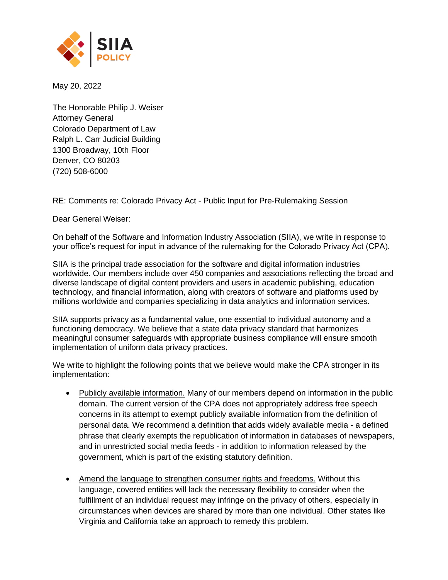

May 20, 2022

The Honorable Philip J. Weiser Attorney General Colorado Department of Law Ralph L. Carr Judicial Building 1300 Broadway, 10th Floor Denver, CO 80203 (720) 508-6000

RE: Comments re: Colorado Privacy Act - Public Input for Pre-Rulemaking Session

Dear General Weiser:

On behalf of the Software and Information Industry Association (SIIA), we write in response to your office's request for input in advance of the rulemaking for the Colorado Privacy Act (CPA).

SIIA is the principal trade association for the software and digital information industries worldwide. Our members include over 450 companies and associations reflecting the broad and diverse landscape of digital content providers and users in academic publishing, education technology, and financial information, along with creators of software and platforms used by millions worldwide and companies specializing in data analytics and information services.

SIIA supports privacy as a fundamental value, one essential to individual autonomy and a functioning democracy. We believe that a state data privacy standard that harmonizes meaningful consumer safeguards with appropriate business compliance will ensure smooth implementation of uniform data privacy practices.

We write to highlight the following points that we believe would make the CPA stronger in its implementation:

- Publicly available information. Many of our members depend on information in the public domain. The current version of the CPA does not appropriately address free speech concerns in its attempt to exempt publicly available information from the definition of personal data. We recommend a definition that adds widely available media - a defined phrase that clearly exempts the republication of information in databases of newspapers, and in unrestricted social media feeds - in addition to information released by the government, which is part of the existing statutory definition.
- Amend the language to strengthen consumer rights and freedoms. Without this language, covered entities will lack the necessary flexibility to consider when the fulfillment of an individual request may infringe on the privacy of others, especially in circumstances when devices are shared by more than one individual. Other states like Virginia and California take an approach to remedy this problem.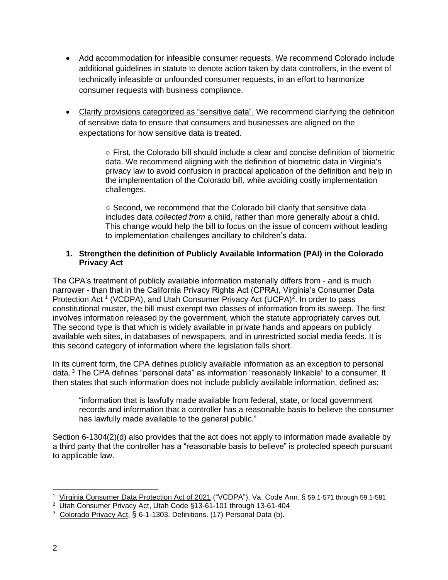- Add accommodation for infeasible consumer requests. We recommend Colorado include additional guidelines in statute to denote action taken by data controllers, in the event of technically infeasible or unfounded consumer requests, in an effort to harmonize consumer requests with business compliance.
- Clarify provisions categorized as "sensitive data". We recommend clarifying the definition of sensitive data to ensure that consumers and businesses are aligned on the expectations for how sensitive data is treated.

○ First, the Colorado bill should include a clear and concise definition of biometric data. We recommend aligning with the definition of biometric data in Virginia's privacy law to avoid confusion in practical application of the definition and help in the implementation of the Colorado bill, while avoiding costly implementation challenges.

○ Second, we recommend that the Colorado bill clarify that sensitive data includes data *collected from* a child, rather than more generally *about* a child. This change would help the bill to focus on the issue of concern without leading to implementation challenges ancillary to children's data.

### **1. Strengthen the definition of Publicly Available Information (PAI) in the Colorado Privacy Act**

The CPA's treatment of publicly available information materially differs from - and is much narrower - than that in the California Privacy Rights Act (CPRA), Virginia's Consumer Data Protection Act<sup>1</sup> (VCDPA), and Utah Consumer Privacy Act (UCPA)<sup>2</sup>. In order to pass constitutional muster, the bill must exempt two classes of information from its sweep. The first involves information released by the government, which the statute appropriately carves out. The second type is that which is widely available in private hands and appears on publicly available web sites, in databases of newspapers, and in unrestricted social media feeds. It is this second category of information where the legislation falls short.

In its current form, the CPA defines publicly available information as an exception to personal data. <sup>3</sup> The CPA defines "personal data" as information "reasonably linkable" to a consumer. It then states that such information does not include publicly available information, defined as:

"information that is lawfully made available from federal, state, or local government records and information that a controller has a reasonable basis to believe the consumer has lawfully made available to the general public."

Section 6-1304(2)(d) also provides that the act does not apply to information made available by a third party that the controller has a "reasonable basis to believe" is protected speech pursuant to applicable law.

<sup>&</sup>lt;sup>1</sup> [Virginia Consumer Data Protection Act of 2021](https://lis.virginia.gov/cgi-bin/legp604.exe?212+ful+CHAP0035+pdf) ("VCDPA"), Va. Code Ann. § [59.1-571](http://law.lis.virginia.gov/vacode/59.1-571) through [59.1-581](http://law.lis.virginia.gov/vacode/59.1-581)<br><sup>2</sup> <u>[Utah Consumer Privacy Act,](https://le.utah.gov/~2022/bills/static/SB0227.html)</u> Utah Code §13-61-101 through 13-61-404

<sup>&</sup>lt;sup>3</sup> [Colorado Privacy Act,](https://legiscan.com/CO/text/SB190/id/2419357) § 6-1-1303. Definitions. (17) Personal Data (b).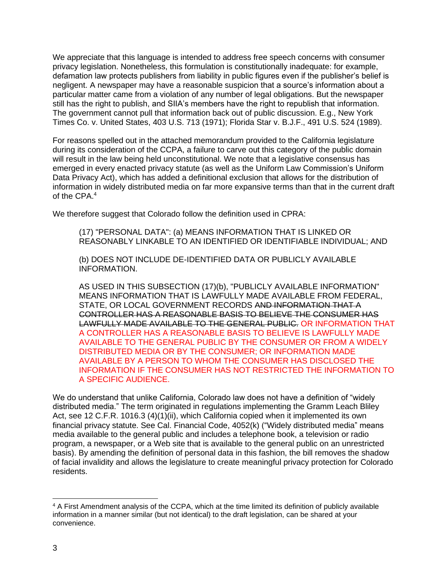We appreciate that this language is intended to address free speech concerns with consumer privacy legislation. Nonetheless, this formulation is constitutionally inadequate: for example, defamation law protects publishers from liability in public figures even if the publisher's belief is negligent. A newspaper may have a reasonable suspicion that a source's information about a particular matter came from a violation of any number of legal obligations. But the newspaper still has the right to publish, and SIIA's members have the right to republish that information. The government cannot pull that information back out of public discussion. E.g., New York Times Co. v. United States, 403 U.S. 713 (1971); Florida Star v. B.J.F., 491 U.S. 524 (1989).

For reasons spelled out in the attached memorandum provided to the California legislature during its consideration of the CCPA, a failure to carve out this category of the public domain will result in the law being held unconstitutional. We note that a legislative consensus has emerged in every enacted privacy statute (as well as the Uniform Law Commission's Uniform Data Privacy Act), which has added a definitional exclusion that allows for the distribution of information in widely distributed media on far more expansive terms than that in the current draft of the CPA.<sup>4</sup>

We therefore suggest that Colorado follow the definition used in CPRA:

(17) "PERSONAL DATA": (a) MEANS INFORMATION THAT IS LINKED OR REASONABLY LINKABLE TO AN IDENTIFIED OR IDENTIFIABLE INDIVIDUAL; AND

(b) DOES NOT INCLUDE DE-IDENTIFIED DATA OR PUBLICLY AVAILABLE INFORMATION.

AS USED IN THIS SUBSECTION (17)(b), "PUBLICLY AVAILABLE INFORMATION" MEANS INFORMATION THAT IS LAWFULLY MADE AVAILABLE FROM FEDERAL, STATE, OR LOCAL GOVERNMENT RECORDS AND INFORMATION THAT A CONTROLLER HAS A REASONABLE BASIS TO BELIEVE THE CONSUMER HAS LAWFULLY MADE AVAILABLE TO THE GENERAL PUBLIC. OR INFORMATION THAT A CONTROLLER HAS A REASONABLE BASIS TO BELIEVE IS LAWFULLY MADE AVAILABLE TO THE GENERAL PUBLIC BY THE CONSUMER OR FROM A WIDELY DISTRIBUTED MEDIA OR BY THE CONSUMER; OR INFORMATION MADE AVAILABLE BY A PERSON TO WHOM THE CONSUMER HAS DISCLOSED THE INFORMATION IF THE CONSUMER HAS NOT RESTRICTED THE INFORMATION TO A SPECIFIC AUDIENCE.

We do understand that unlike California, Colorado law does not have a definition of "widely distributed media." The term originated in regulations implementing the Gramm Leach Bliley Act, see 12 C.F.R. 1016.3 (4)(1)(ii), which California copied when it implemented its own financial privacy statute. See Cal. Financial Code, 4052(k) ("Widely distributed media" means media available to the general public and includes a telephone book, a television or radio program, a newspaper, or a Web site that is available to the general public on an unrestricted basis). By amending the definition of personal data in this fashion, the bill removes the shadow of facial invalidity and allows the legislature to create meaningful privacy protection for Colorado residents.

<sup>4</sup> A First Amendment analysis of the CCPA, which at the time limited its definition of publicly available information in a manner similar (but not identical) to the draft legislation, can be shared at your convenience.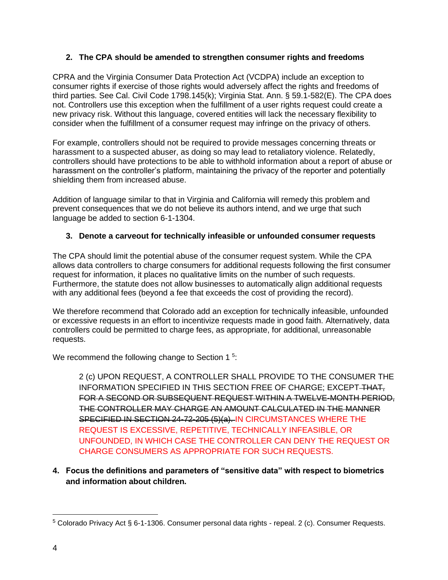### **2. The CPA should be amended to strengthen consumer rights and freedoms**

CPRA and the Virginia Consumer Data Protection Act (VCDPA) include an exception to consumer rights if exercise of those rights would adversely affect the rights and freedoms of third parties. See Cal. Civil Code 1798.145(k); Virginia Stat. Ann. § 59.1-582(E). The CPA does not. Controllers use this exception when the fulfillment of a user rights request could create a new privacy risk. Without this language, covered entities will lack the necessary flexibility to consider when the fulfillment of a consumer request may infringe on the privacy of others.

For example, controllers should not be required to provide messages concerning threats or harassment to a suspected abuser, as doing so may lead to retaliatory violence. Relatedly, controllers should have protections to be able to withhold information about a report of abuse or harassment on the controller's platform, maintaining the privacy of the reporter and potentially shielding them from increased abuse.

Addition of language similar to that in Virginia and California will remedy this problem and prevent consequences that we do not believe its authors intend, and we urge that such language be added to section 6-1-1304.

### **3. Denote a carveout for technically infeasible or unfounded consumer requests**

The CPA should limit the potential abuse of the consumer request system. While the CPA allows data controllers to charge consumers for additional requests following the first consumer request for information, it places no qualitative limits on the number of such requests. Furthermore, the statute does not allow businesses to automatically align additional requests with any additional fees (beyond a fee that exceeds the cost of providing the record).

We therefore recommend that Colorado add an exception for technically infeasible, unfounded or excessive requests in an effort to incentivize requests made in good faith. Alternatively, data controllers could be permitted to charge fees, as appropriate, for additional, unreasonable requests.

We recommend the following change to Section 1<sup>5</sup>:

2 (c) UPON REQUEST, A CONTROLLER SHALL PROVIDE TO THE CONSUMER THE INFORMATION SPECIFIED IN THIS SECTION FREE OF CHARGE; EXCEPT-THAT, FOR A SECOND OR SUBSEQUENT REQUEST WITHIN A TWELVE-MONTH PERIOD, THE CONTROLLER MAY CHARGE AN AMOUNT CALCULATED IN THE MANNER SPECIFIED IN SECTION 24-72-205 (5)(a). IN CIRCUMSTANCES WHERE THE REQUEST IS EXCESSIVE, REPETITIVE, TECHNICALLY INFEASIBLE, OR UNFOUNDED, IN WHICH CASE THE CONTROLLER CAN DENY THE REQUEST OR CHARGE CONSUMERS AS APPROPRIATE FOR SUCH REQUESTS.

## **4. Focus the definitions and parameters of "sensitive data" with respect to biometrics and information about children.**

 $5$  Colorado Privacy Act § 6-1-1306. Consumer personal data rights - repeal. 2 (c). Consumer Requests.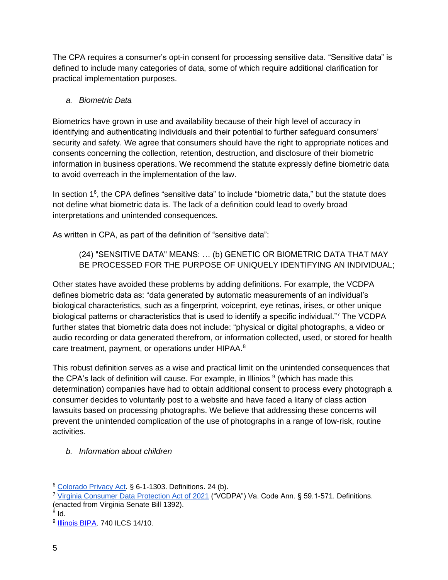The CPA requires a consumer's opt-in consent for processing sensitive data. "Sensitive data" is defined to include many categories of data, some of which require additional clarification for practical implementation purposes.

# *a. Biometric Data*

Biometrics have grown in use and availability because of their high level of accuracy in identifying and authenticating individuals and their potential to further safeguard consumers' security and safety. We agree that consumers should have the right to appropriate notices and consents concerning the collection, retention, destruction, and disclosure of their biometric information in business operations. We recommend the statute expressly define biometric data to avoid overreach in the implementation of the law.

In section 1<sup>6</sup>, the CPA defines "sensitive data" to include "biometric data," but the statute does not define what biometric data is. The lack of a definition could lead to overly broad interpretations and unintended consequences.

As written in CPA, as part of the definition of "sensitive data":

(24) "SENSITIVE DATA" MEANS: … (b) GENETIC OR BIOMETRIC DATA THAT MAY BE PROCESSED FOR THE PURPOSE OF UNIQUELY IDENTIFYING AN INDIVIDUAL;

Other states have avoided these problems by adding definitions. For example, the VCDPA defines biometric data as: "data generated by automatic measurements of an individual's biological characteristics, such as a fingerprint, voiceprint, eye retinas, irises, or other unique biological patterns or characteristics that is used to identify a specific individual."<sup>7</sup> The VCDPA further states that biometric data does not include: "physical or digital photographs, a video or audio recording or data generated therefrom, or information collected, used, or stored for health care treatment, payment, or operations under HIPAA.<sup>8</sup>

This robust definition serves as a wise and practical limit on the unintended consequences that the CPA's lack of definition will cause. For example, in Illinios  $9$  (which has made this determination) companies have had to obtain additional consent to process every photograph a consumer decides to voluntarily post to a website and have faced a litany of class action lawsuits based on processing photographs. We believe that addressing these concerns will prevent the unintended complication of the use of photographs in a range of low-risk, routine activities.

*b. Information about children*

 $^8$  Id.

<sup>6</sup> [Colorado Privacy Act.](https://legiscan.com/CO/text/SB190/id/2419357) § 6-1-1303. Definitions. 24 (b).

<sup>7</sup> [Virginia Consumer Data Protection Act of 2021](https://lis.virginia.gov/cgi-bin/legp604.exe?212+ful+CHAP0035+pdf) ("VCDPA") Va. Code Ann. § 59.1-571. Definitions. (enacted from Virginia Senate Bill 1392).

<sup>&</sup>lt;sup>9</sup> <u>Illinois BIPA</u>. 740 ILCS 14/10.